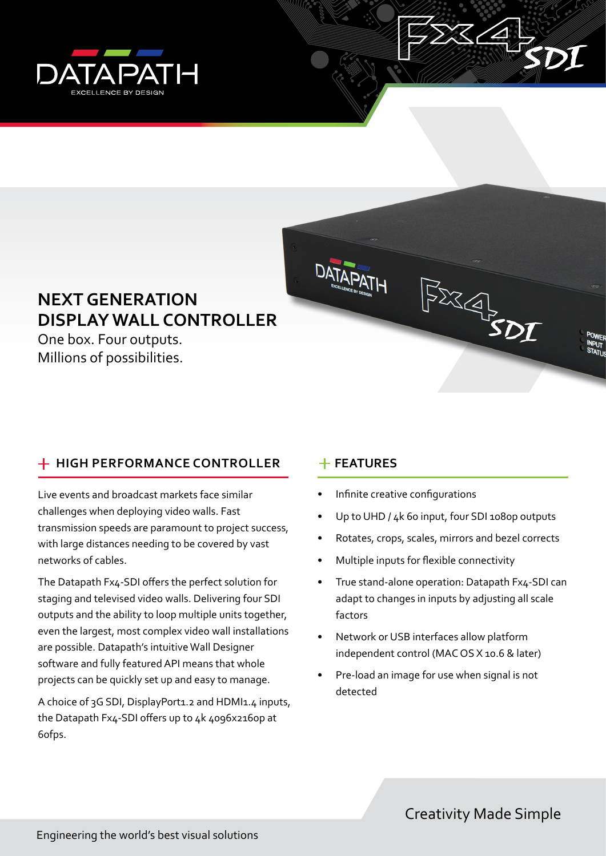



# **NEXT GENERATION DISPLAY WALL CONTROLLER**

One box. Four outputs. Millions of possibilities.

# **HIGH PERFORMANCE CONTROLLER FEATURES**

Live events and broadcast markets face similar challenges when deploying video walls. Fast transmission speeds are paramount to project success, with large distances needing to be covered by vast networks of cables.

The Datapath Fx4-SDI offers the perfect solution for staging and televised video walls. Delivering four SDI outputs and the ability to loop multiple units together, even the largest, most complex video wall installations are possible. Datapath's intuitive Wall Designer software and fully featured API means that whole projects can be quickly set up and easy to manage.

A choice of 3G SDI, DisplayPort1.2 and HDMI1.4 inputs, the Datapath Fx4-SDI offers up to 4k 4096x2160p at 60fps.

- Infinite creative configurations
- Up to UHD / 4k 60 input, four SDI 1080p outputs
- Rotates, crops, scales, mirrors and bezel corrects
- Multiple inputs for flexible connectivity
- True stand-alone operation: Datapath Fx4-SDI can adapt to changes in inputs by adjusting all scale factors
- Network or USB interfaces allow platform independent control (MAC OS X 10.6 & later)
- Pre-load an image for use when signal is not detected

Creativity Made Simple